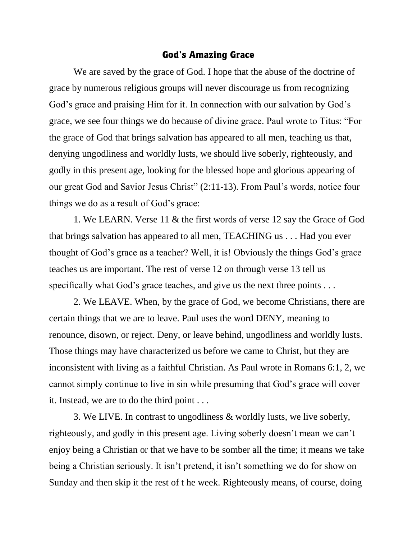## God's Amazing Grace

We are saved by the grace of God. I hope that the abuse of the doctrine of grace by numerous religious groups will never discourage us from recognizing God's grace and praising Him for it. In connection with our salvation by God's grace, we see four things we do because of divine grace. Paul wrote to Titus: "For the grace of God that brings salvation has appeared to all men, teaching us that, denying ungodliness and worldly lusts, we should live soberly, righteously, and godly in this present age, looking for the blessed hope and glorious appearing of our great God and Savior Jesus Christ" (2:11-13). From Paul's words, notice four things we do as a result of God's grace:

1. We LEARN. Verse 11 & the first words of verse 12 say the Grace of God that brings salvation has appeared to all men, TEACHING us . . . Had you ever thought of God's grace as a teacher? Well, it is! Obviously the things God's grace teaches us are important. The rest of verse 12 on through verse 13 tell us specifically what God's grace teaches, and give us the next three points . . .

2. We LEAVE. When, by the grace of God, we become Christians, there are certain things that we are to leave. Paul uses the word DENY, meaning to renounce, disown, or reject. Deny, or leave behind, ungodliness and worldly lusts. Those things may have characterized us before we came to Christ, but they are inconsistent with living as a faithful Christian. As Paul wrote in Romans 6:1, 2, we cannot simply continue to live in sin while presuming that God's grace will cover it. Instead, we are to do the third point . . .

3. We LIVE. In contrast to ungodliness & worldly lusts, we live soberly, righteously, and godly in this present age. Living soberly doesn't mean we can't enjoy being a Christian or that we have to be somber all the time; it means we take being a Christian seriously. It isn't pretend, it isn't something we do for show on Sunday and then skip it the rest of t he week. Righteously means, of course, doing